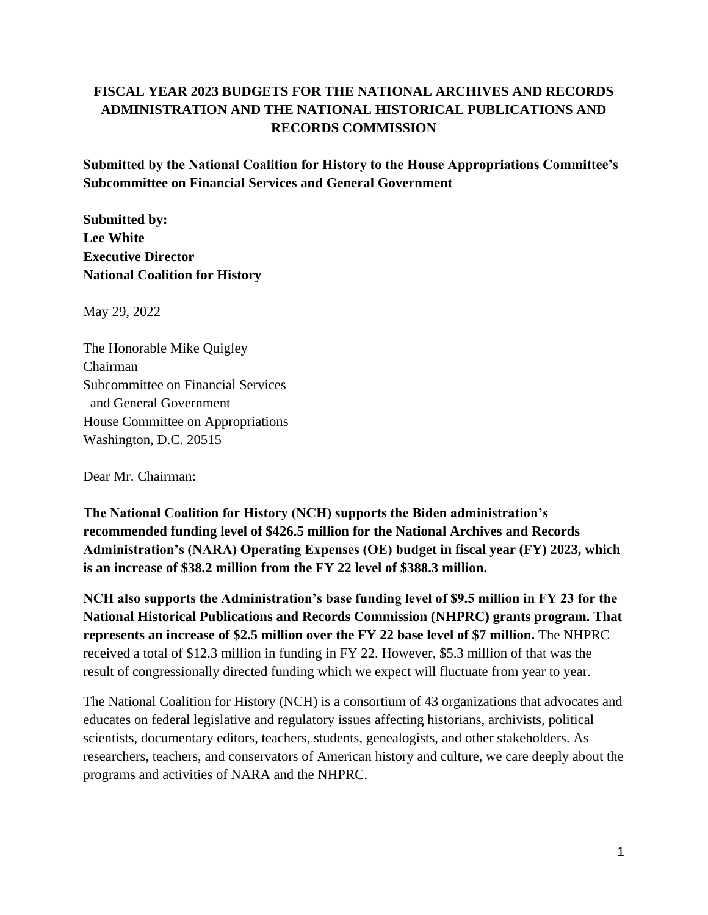## **FISCAL YEAR 2023 BUDGETS FOR THE NATIONAL ARCHIVES AND RECORDS ADMINISTRATION AND THE NATIONAL HISTORICAL PUBLICATIONS AND RECORDS COMMISSION**

**Submitted by the National Coalition for History to the House Appropriations Committee's Subcommittee on Financial Services and General Government**

**Submitted by: Lee White Executive Director National Coalition for History**

May 29, 2022

The Honorable Mike Quigley Chairman Subcommittee on Financial Services and General Government House Committee on Appropriations Washington, D.C. 20515

Dear Mr. Chairman:

**The National Coalition for History (NCH) supports the Biden administration's recommended funding level of \$426.5 million for the National Archives and Records Administration's (NARA) Operating Expenses (OE) budget in fiscal year (FY) 2023, which is an increase of \$38.2 million from the FY 22 level of \$388.3 million.**

**NCH also supports the Administration's base funding level of \$9.5 million in FY 23 for the National Historical Publications and Records Commission (NHPRC) grants program. That represents an increase of \$2.5 million over the FY 22 base level of \$7 million.** The NHPRC received a total of \$12.3 million in funding in FY 22. However, \$5.3 million of that was the result of congressionally directed funding which we expect will fluctuate from year to year.

The National Coalition for History (NCH) is a consortium of 43 organizations that advocates and educates on federal legislative and regulatory issues affecting historians, archivists, political scientists, documentary editors, teachers, students, genealogists, and other stakeholders. As researchers, teachers, and conservators of American history and culture, we care deeply about the programs and activities of NARA and the NHPRC.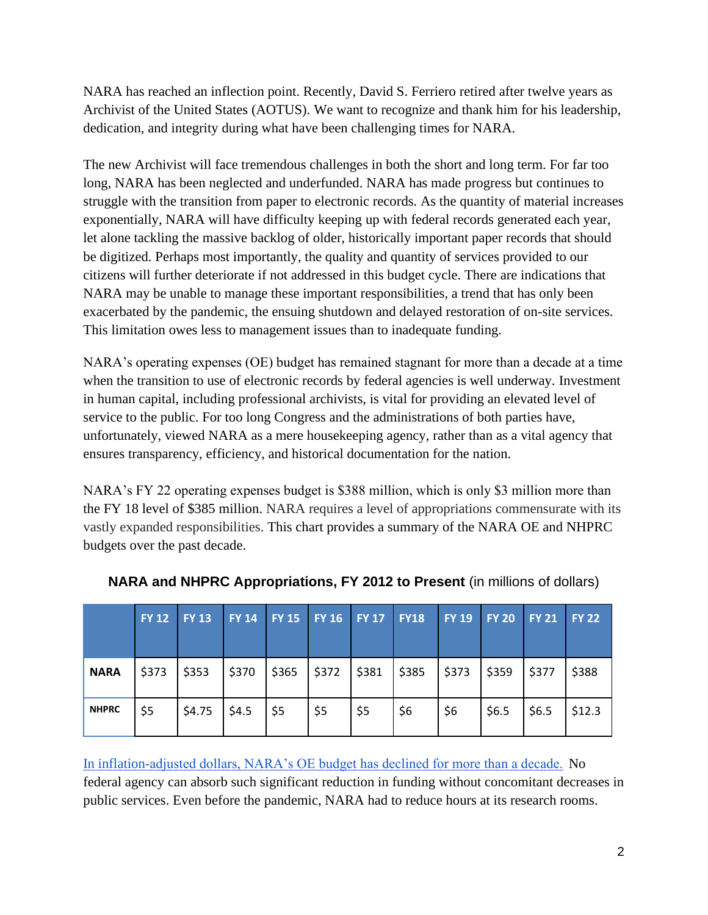NARA has reached an inflection point. Recently, David S. Ferriero retired after twelve years as Archivist of the United States (AOTUS). We want to recognize and thank him for his leadership, dedication, and integrity during what have been challenging times for NARA.

The new Archivist will face tremendous challenges in both the short and long term. For far too long, NARA has been neglected and underfunded. NARA has made progress but continues to struggle with the transition from paper to electronic records. As the quantity of material increases exponentially, NARA will have difficulty keeping up with federal records generated each year, let alone tackling the massive backlog of older, historically important paper records that should be digitized. Perhaps most importantly, the quality and quantity of services provided to our citizens will further deteriorate if not addressed in this budget cycle. There are indications that NARA may be unable to manage these important responsibilities, a trend that has only been exacerbated by the pandemic, the ensuing shutdown and delayed restoration of on-site services. This limitation owes less to management issues than to inadequate funding.

NARA's operating expenses (OE) budget has remained stagnant for more than a decade at a time when the transition to use of electronic records by federal agencies is well underway. Investment in human capital, including professional archivists, is vital for providing an elevated level of service to the public. For too long Congress and the administrations of both parties have, unfortunately, viewed NARA as a mere housekeeping agency, rather than as a vital agency that ensures transparency, efficiency, and historical documentation for the nation.

NARA's FY 22 operating expenses budget is \$388 million, which is only \$3 million more than the FY 18 level of \$385 million. NARA requires a level of appropriations commensurate with its vastly expanded responsibilities. This chart provides a summary of the NARA OE and NHPRC budgets over the past decade.

|              | FY 12 FY 13 |        | FY 14 FY 15 FY 16 FY 17 |       |               |       | <b>FY18</b>         | <b>FY 19</b> | <b>FY 20</b> | $\mathsf{FY}21$ | <b>FY 22</b> |
|--------------|-------------|--------|-------------------------|-------|---------------|-------|---------------------|--------------|--------------|-----------------|--------------|
| <b>NARA</b>  | \$373       | \$353  | \$370                   | \$365 | \$372         | \$381 | $\frac{1}{2}$ \$385 | \$373        | 5359         | \$377           | \$388        |
| <b>NHPRC</b> | \$5         | \$4.75 | \$4.5                   | \$5   | $\frac{1}{5}$ | \$5   | \$6                 | \$6          | \$6.5        | \$6.5           | \$12.3       |

**NARA and NHPRC Appropriations, FY 2012 to Present** (in millions of dollars)

[In inflation-adjusted dollars, NARA's OE budget has declined for more than a decade.](https://historycoalition.org/wp-content/uploads/2022/05/NARA-Operating-Expenses-Inflation-Adjusted-Dollars-FY-07-22.pdf) No federal agency can absorb such significant reduction in funding without concomitant decreases in public services. Even before the pandemic, NARA had to reduce hours at its research rooms.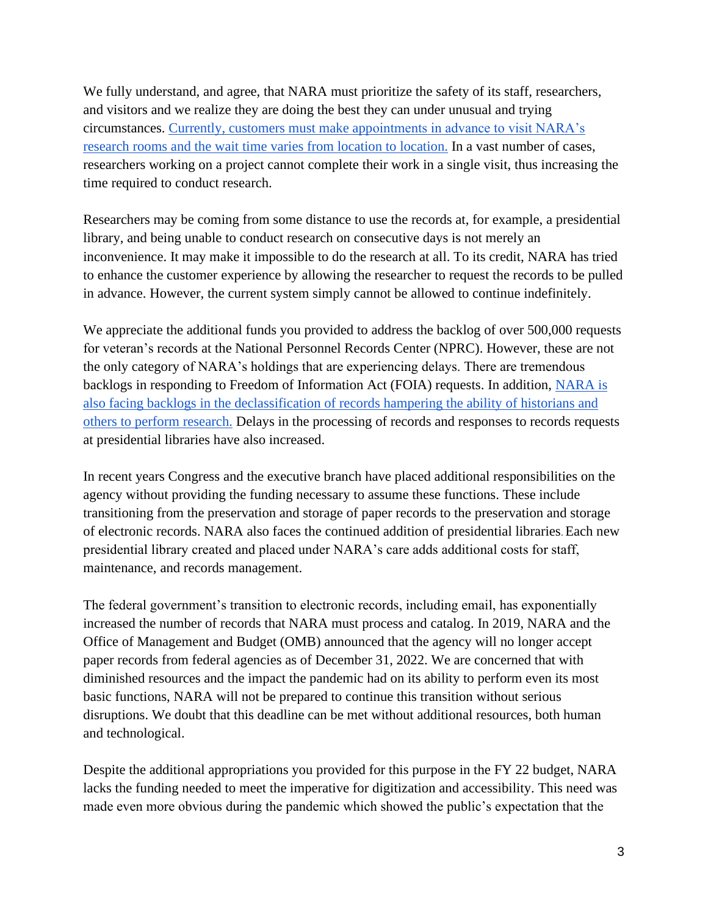We fully understand, and agree, that NARA must prioritize the safety of its staff, researchers, and visitors and we realize they are doing the best they can under unusual and trying circumstances. [Currently, customers must make appointments in advance to visit NARA's](https://www.archives.gov/research/news/faqs-research-room-reopenings)  [research rooms and the wait](https://www.archives.gov/research/news/faqs-research-room-reopenings) [time varies from location to location.](https://www.archives.gov/research/news/faqs-research-room-reopenings) In a vast number of cases, researchers working on a project cannot complete their work in a single visit, thus increasing the time required to conduct research.

Researchers may be coming from some distance to use the records at, for example, a presidential library, and being unable to conduct research on consecutive days is not merely an inconvenience. It may make it impossible to do the research at all. To its credit, NARA has tried to enhance the customer experience by allowing the researcher to request the records to be pulled in advance. However, the current system simply cannot be allowed to continue indefinitely.

We appreciate the additional funds you provided to address the backlog of over 500,000 requests for veteran's records at the National Personnel Records Center (NPRC). However, these are not the only category of NARA's holdings that are experiencing delays. There are tremendous backlogs in responding to Freedom of Information Act (FOIA) requests. In addition, [NARA is](https://nsarchive.gwu.edu/foia-audit/foia/2022-03-11/us-national-archives-nara-budget-30-year-flatline)  [also facing backlogs in the declassification of records hampering the ability of historians and](https://nsarchive.gwu.edu/foia-audit/foia/2022-03-11/us-national-archives-nara-budget-30-year-flatline)  [others to perform research.](https://nsarchive.gwu.edu/foia-audit/foia/2022-03-11/us-national-archives-nara-budget-30-year-flatline) Delays in the processing of records and responses to records requests at presidential libraries have also increased.

In recent years Congress and the executive branch have placed additional responsibilities on the agency without providing the funding necessary to assume these functions. These include transitioning from the preservation and storage of paper records to the preservation and storage of electronic records. NARA also faces the continued addition of presidential libraries. Each new presidential library created and placed under NARA's care adds additional costs for staff, maintenance, and records management.

The federal government's transition to electronic records, including email, has exponentially increased the number of records that NARA must process and catalog. In 2019, NARA and the Office of Management and Budget (OMB) announced that the agency will no longer accept paper records from federal agencies as of December 31, 2022. We are concerned that with diminished resources and the impact the pandemic had on its ability to perform even its most basic functions, NARA will not be prepared to continue this transition without serious disruptions. We doubt that this deadline can be met without additional resources, both human and technological.

Despite the additional appropriations you provided for this purpose in the FY 22 budget, NARA lacks the funding needed to meet the imperative for digitization and accessibility. This need was made even more obvious during the pandemic which showed the public's expectation that the